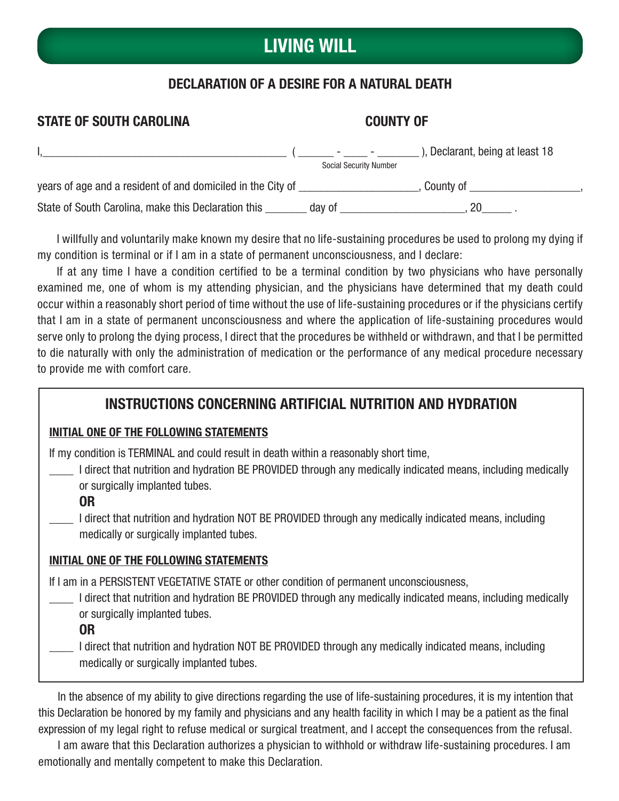## LIVING WILL

### DECLARATION OF A DESIRE FOR A NATURAL DEATH

### STATE OF SOUTH CAROLINA COUNTY OF I,\_\_\_\_\_\_\_\_\_\_\_\_\_\_\_\_\_\_\_\_\_\_\_\_\_\_\_\_\_\_\_\_\_\_\_\_\_\_\_\_\_ ( \_\_\_\_\_\_ - \_\_\_\_ - \_\_\_\_\_\_\_ ), Declarant, being at least 18 Social Security Number years of age and a resident of and domiciled in the City of \_\_\_\_\_\_\_\_\_\_\_\_\_\_\_\_\_\_, County of \_\_\_\_\_\_\_\_\_\_\_\_\_\_\_\_, State of South Carolina, make this Declaration this \_\_\_\_\_\_\_ day of \_\_\_\_\_\_\_\_\_\_\_\_\_\_\_\_\_\_\_\_\_\_\_\_\_, 20

I willfully and voluntarily make known my desire that no life-sustaining procedures be used to prolong my dying if my condition is terminal or if I am in a state of permanent unconsciousness, and I declare:

If at any time I have a condition certified to be a terminal condition by two physicians who have personally examined me, one of whom is my attending physician, and the physicians have determined that my death could occur within a reasonably short period of time without the use of life-sustaining procedures or if the physicians certify that I am in a state of permanent unconsciousness and where the application of life-sustaining procedures would serve only to prolong the dying process, I direct that the procedures be withheld or withdrawn, and that I be permitted to die naturally with only the administration of medication or the performance of any medical procedure necessary to provide me with comfort care.

### INSTRUCTIONS CONCERNING ARTIFICIAL NUTRITION AND HYDRATION

#### INITIAL ONE OF THE FOLLOWING STATEMENTS

If my condition is TERMINAL and could result in death within a reasonably short time,

- \_\_\_\_ I direct that nutrition and hydration BE PROVIDED through any medically indicated means, including medically or surgically implanted tubes.
	- OR
	- I direct that nutrition and hydration NOT BE PROVIDED through any medically indicated means, including medically or surgically implanted tubes.

#### INITIAL ONE OF THE FOLLOWING STATEMENTS

If I am in a PERSISTENT VEGETATIVE STATE or other condition of permanent unconsciousness,

- I direct that nutrition and hydration BE PROVIDED through any medically indicated means, including medically or surgically implanted tubes.
	- OR

I direct that nutrition and hydration NOT BE PROVIDED through any medically indicated means, including medically or surgically implanted tubes.

In the absence of my ability to give directions regarding the use of life-sustaining procedures, it is my intention that this Declaration be honored by my family and physicians and any health facility in which I may be a patient as the final expression of my legal right to refuse medical or surgical treatment, and I accept the consequences from the refusal.

I am aware that this Declaration authorizes a physician to withhold or withdraw life-sustaining procedures. I am emotionally and mentally competent to make this Declaration.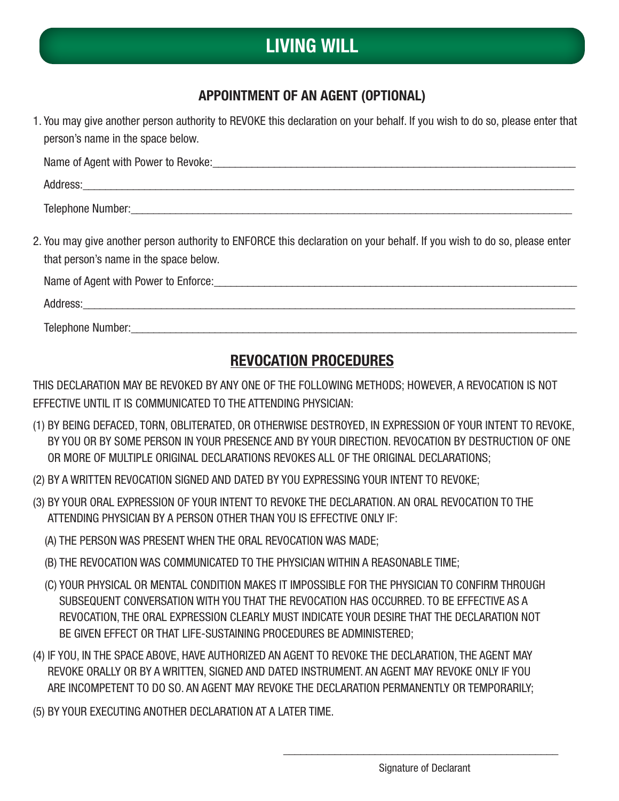## LIVING WILL

### APPOINTMENT OF AN AGENT (OPTIONAL)

| 1. You may give another person authority to REVOKE this declaration on your behalf. If you wish to do so, please enter that<br>person's name in the space below.                                                               |
|--------------------------------------------------------------------------------------------------------------------------------------------------------------------------------------------------------------------------------|
|                                                                                                                                                                                                                                |
|                                                                                                                                                                                                                                |
|                                                                                                                                                                                                                                |
| 2. You may give another person authority to ENFORCE this declaration on your behalf. If you wish to do so, please enter<br>that person's name in the space below.                                                              |
| Name of Agent with Power to Enforce: 1990 March 2014 1991 March 2014 1991 March 2014 1991 March 2014 1991 March 2014 1991 March 2014 1991 March 2014 1991 March 2014 1991 March 2014 1991 March 2014 1991 March 2014 1991 Marc |
|                                                                                                                                                                                                                                |
|                                                                                                                                                                                                                                |
|                                                                                                                                                                                                                                |

### REVOCATION PROCEDURES

THIS DECLARATION MAY BE REVOKED BY ANY ONE OF THE FOLLOWING METHODS; HOWEVER, A REVOCATION IS NOT EFFECTIVE UNTIL IT IS COMMUNICATED TO THE ATTENDING PHYSICIAN:

- (1) BY BEING DEFACED, TORN, OBLITERATED, OR OTHERWISE DESTROYED, IN EXPRESSION OF YOUR INTENT TO REVOKE, BY YOU OR BY SOME PERSON IN YOUR PRESENCE AND BY YOUR DIRECTION. REVOCATION BY DESTRUCTION OF ONE OR MORE OF MULTIPLE ORIGINAL DECLARATIONS REVOKES ALL OF THE ORIGINAL DECLARATIONS;
- (2) BY A WRITTEN REVOCATION SIGNED AND DATED BY YOU EXPRESSING YOUR INTENT TO REVOKE;
- (3) BY YOUR ORAL EXPRESSION OF YOUR INTENT TO REVOKE THE DECLARATION. AN ORAL REVOCATION TO THE ATTENDING PHYSICIAN BY A PERSON OTHER THAN YOU IS EFFECTIVE ONLY IF:
	- (A) THE PERSON WAS PRESENT WHEN THE ORAL REVOCATION WAS MADE;
	- (B) THE REVOCATION WAS COMMUNICATED TO THE PHYSICIAN WITHIN A REASONABLE TIME;
	- (C) YOUR PHYSICAL OR MENTAL CONDITION MAKES IT IMPOSSIBLE FOR THE PHYSICIAN TO CONFIRM THROUGH SUBSEQUENT CONVERSATION WITH YOU THAT THE REVOCATION HAS OCCURRED. TO BE EFFECTIVE AS A REVOCATION, THE ORAL EXPRESSION CLEARLY MUST INDICATE YOUR DESIRE THAT THE DECLARATION NOT BE GIVEN EFFECT OR THAT LIFE-SUSTAINING PROCEDURES BE ADMINISTERED;
- (4) IF YOU, IN THE SPACE ABOVE, HAVE AUTHORIZED AN AGENT TO REVOKE THE DECLARATION, THE AGENT MAY REVOKE ORALLY OR BY A WRITTEN, SIGNED AND DATED INSTRUMENT. AN AGENT MAY REVOKE ONLY IF YOU ARE INCOMPETENT TO DO SO. AN AGENT MAY REVOKE THE DECLARATION PERMANENTLY OR TEMPORARILY;

 $\overline{\phantom{a}}$  ,  $\overline{\phantom{a}}$  ,  $\overline{\phantom{a}}$  ,  $\overline{\phantom{a}}$  ,  $\overline{\phantom{a}}$  ,  $\overline{\phantom{a}}$  ,  $\overline{\phantom{a}}$  ,  $\overline{\phantom{a}}$  ,  $\overline{\phantom{a}}$  ,  $\overline{\phantom{a}}$  ,  $\overline{\phantom{a}}$  ,  $\overline{\phantom{a}}$  ,  $\overline{\phantom{a}}$  ,  $\overline{\phantom{a}}$  ,  $\overline{\phantom{a}}$  ,  $\overline{\phantom{a}}$ 

(5) BY YOUR EXECUTING ANOTHER DECLARATION AT A LATER TIME.